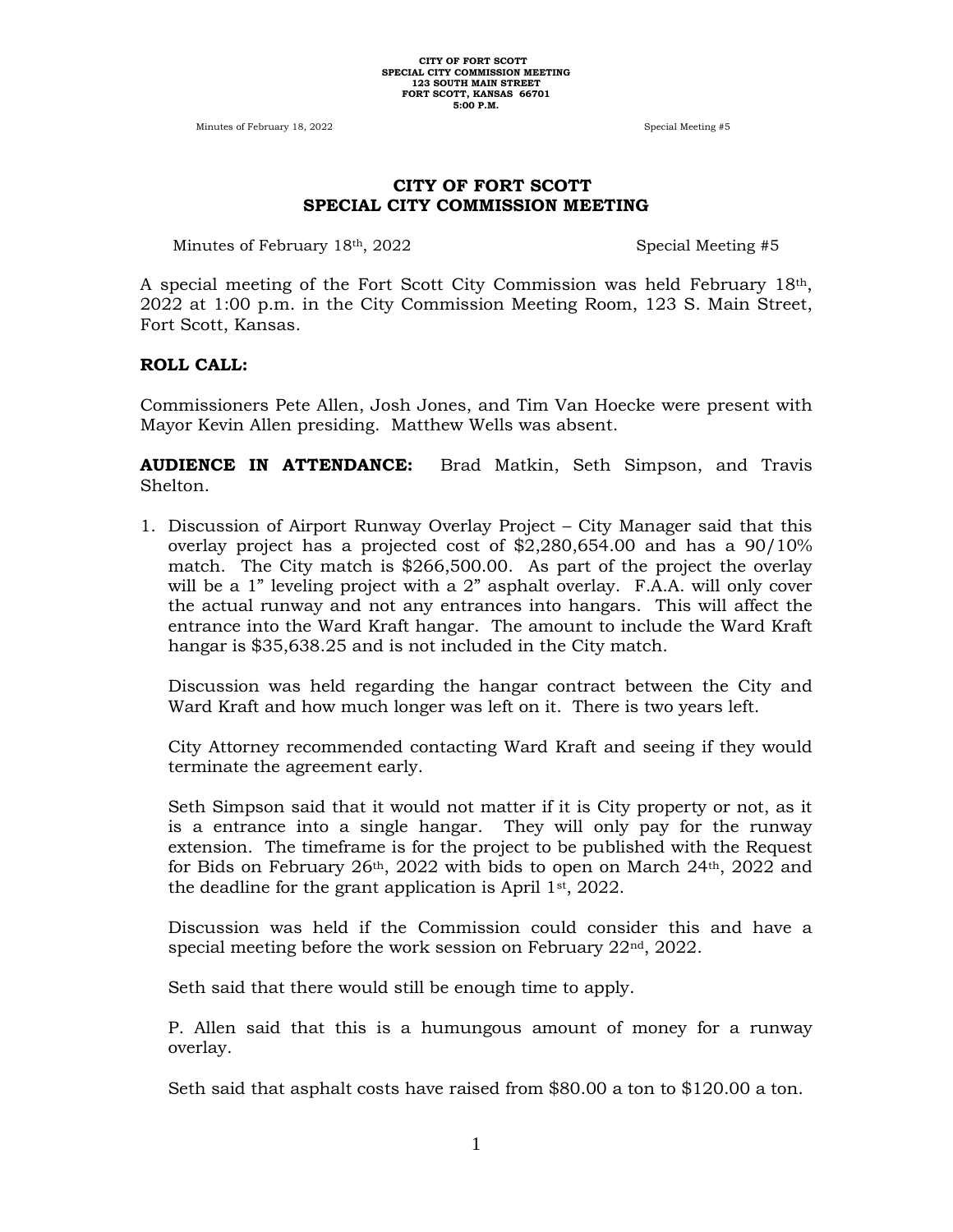Minutes of February 18, 2022 Special Meeting #5

# **CITY OF FORT SCOTT SPECIAL CITY COMMISSION MEETING**

Minutes of February 18<sup>th</sup>, 2022 Special Meeting #5

A special meeting of the Fort Scott City Commission was held February 18th, 2022 at 1:00 p.m. in the City Commission Meeting Room, 123 S. Main Street, Fort Scott, Kansas.

#### **ROLL CALL:**

Commissioners Pete Allen, Josh Jones, and Tim Van Hoecke were present with Mayor Kevin Allen presiding. Matthew Wells was absent.

**AUDIENCE IN ATTENDANCE:** Brad Matkin, Seth Simpson, and Travis Shelton.

1. Discussion of Airport Runway Overlay Project – City Manager said that this overlay project has a projected cost of \$2,280,654.00 and has a 90/10% match. The City match is \$266,500.00. As part of the project the overlay will be a 1" leveling project with a 2" asphalt overlay. F.A.A. will only cover the actual runway and not any entrances into hangars. This will affect the entrance into the Ward Kraft hangar. The amount to include the Ward Kraft hangar is \$35,638.25 and is not included in the City match.

Discussion was held regarding the hangar contract between the City and Ward Kraft and how much longer was left on it. There is two years left.

City Attorney recommended contacting Ward Kraft and seeing if they would terminate the agreement early.

Seth Simpson said that it would not matter if it is City property or not, as it is a entrance into a single hangar. They will only pay for the runway extension. The timeframe is for the project to be published with the Request for Bids on February  $26<sup>th</sup>$ ,  $2022$  with bids to open on March  $24<sup>th</sup>$ ,  $2022$  and the deadline for the grant application is April  $1<sup>st</sup>$ , 2022.

Discussion was held if the Commission could consider this and have a special meeting before the work session on February 22<sup>nd</sup>, 2022.

Seth said that there would still be enough time to apply.

P. Allen said that this is a humungous amount of money for a runway overlay.

Seth said that asphalt costs have raised from \$80.00 a ton to \$120.00 a ton.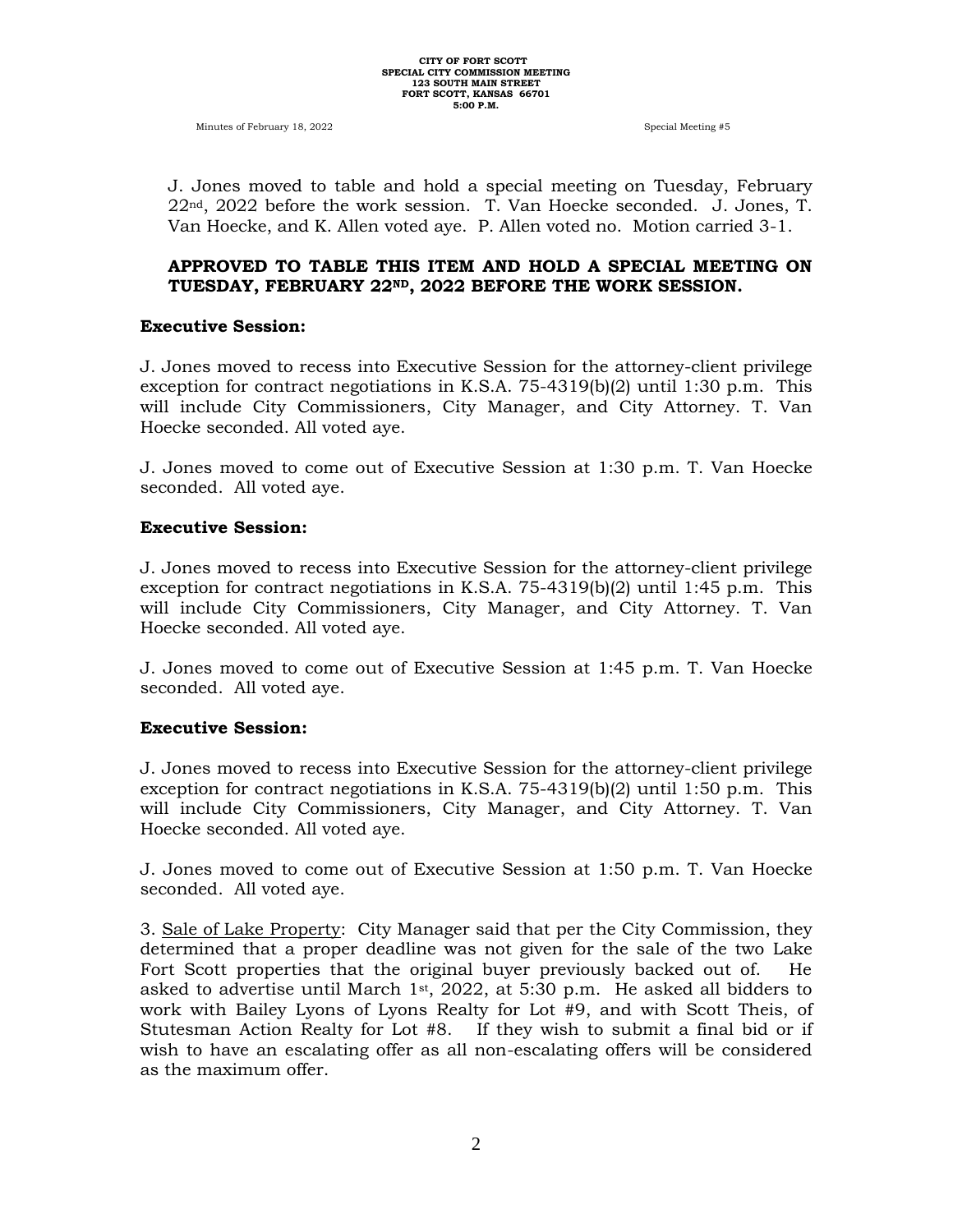J. Jones moved to table and hold a special meeting on Tuesday, February 22nd, 2022 before the work session. T. Van Hoecke seconded. J. Jones, T. Van Hoecke, and K. Allen voted aye. P. Allen voted no. Motion carried 3-1.

### **APPROVED TO TABLE THIS ITEM AND HOLD A SPECIAL MEETING ON TUESDAY, FEBRUARY 22ND, 2022 BEFORE THE WORK SESSION.**

#### **Executive Session:**

J. Jones moved to recess into Executive Session for the attorney-client privilege exception for contract negotiations in K.S.A. 75-4319(b)(2) until 1:30 p.m. This will include City Commissioners, City Manager, and City Attorney. T. Van Hoecke seconded. All voted aye.

J. Jones moved to come out of Executive Session at 1:30 p.m. T. Van Hoecke seconded. All voted aye.

#### **Executive Session:**

J. Jones moved to recess into Executive Session for the attorney-client privilege exception for contract negotiations in K.S.A. 75-4319(b)(2) until 1:45 p.m. This will include City Commissioners, City Manager, and City Attorney. T. Van Hoecke seconded. All voted aye.

J. Jones moved to come out of Executive Session at 1:45 p.m. T. Van Hoecke seconded. All voted aye.

#### **Executive Session:**

J. Jones moved to recess into Executive Session for the attorney-client privilege exception for contract negotiations in K.S.A. 75-4319(b)(2) until 1:50 p.m. This will include City Commissioners, City Manager, and City Attorney. T. Van Hoecke seconded. All voted aye.

J. Jones moved to come out of Executive Session at 1:50 p.m. T. Van Hoecke seconded. All voted aye.

3. Sale of Lake Property: City Manager said that per the City Commission, they determined that a proper deadline was not given for the sale of the two Lake Fort Scott properties that the original buyer previously backed out of. He asked to advertise until March  $1<sup>st</sup>$ , 2022, at 5:30 p.m. He asked all bidders to work with Bailey Lyons of Lyons Realty for Lot #9, and with Scott Theis, of Stutesman Action Realty for Lot #8. If they wish to submit a final bid or if wish to have an escalating offer as all non-escalating offers will be considered as the maximum offer.